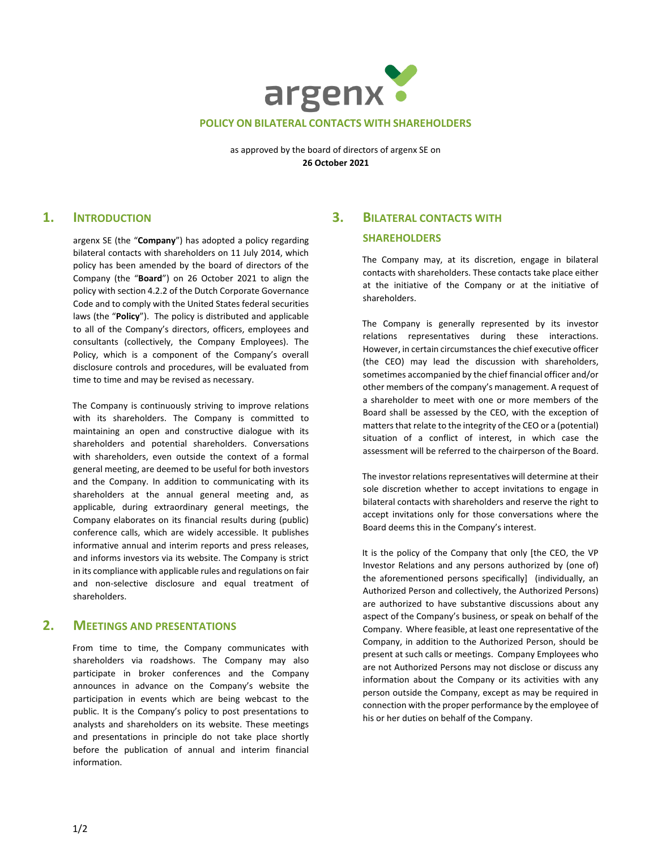

as approved by the board of directors of argenx SE on **26 October 2021**

### **1. INTRODUCTION**

argenx SE (the "**Company**") has adopted a policy regarding bilateral contacts with shareholders on 11 July 2014, which policy has been amended by the board of directors of the Company (the "**Board**") on 26 October 2021 to align the policy with section 4.2.2 of the Dutch Corporate Governance Code and to comply with the United States federal securities laws (the "**Policy**"). The policy is distributed and applicable to all of the Company's directors, officers, employees and consultants (collectively, the Company Employees). The Policy, which is a component of the Company's overall disclosure controls and procedures, will be evaluated from time to time and may be revised as necessary.

The Company is continuously striving to improve relations with its shareholders. The Company is committed to maintaining an open and constructive dialogue with its shareholders and potential shareholders. Conversations with shareholders, even outside the context of a formal general meeting, are deemed to be useful for both investors and the Company. In addition to communicating with its shareholders at the annual general meeting and, as applicable, during extraordinary general meetings, the Company elaborates on its financial results during (public) conference calls, which are widely accessible. It publishes informative annual and interim reports and press releases, and informs investors via its website. The Company is strict in its compliance with applicable rules and regulations on fair and non-selective disclosure and equal treatment of shareholders.

#### **2. MEETINGS AND PRESENTATIONS**

From time to time, the Company communicates with shareholders via roadshows. The Company may also participate in broker conferences and the Company announces in advance on the Company's website the participation in events which are being webcast to the public. It is the Company's policy to post presentations to analysts and shareholders on its website. These meetings and presentations in principle do not take place shortly before the publication of annual and interim financial information.

# **3. BILATERAL CONTACTS WITH SHAREHOLDERS**

The Company may, at its discretion, engage in bilateral contacts with shareholders. These contacts take place either at the initiative of the Company or at the initiative of shareholders.

The Company is generally represented by its investor relations representatives during these interactions. However, in certain circumstances the chief executive officer (the CEO) may lead the discussion with shareholders, sometimes accompanied by the chief financial officer and/or other members of the company's management. A request of a shareholder to meet with one or more members of the Board shall be assessed by the CEO, with the exception of matters that relate to the integrity of the CEO or a (potential) situation of a conflict of interest, in which case the assessment will be referred to the chairperson of the Board.

The investor relations representatives will determine at their sole discretion whether to accept invitations to engage in bilateral contacts with shareholders and reserve the right to accept invitations only for those conversations where the Board deems this in the Company's interest.

It is the policy of the Company that only [the CEO, the VP Investor Relations and any persons authorized by (one of) the aforementioned persons specifically] (individually, an Authorized Person and collectively, the Authorized Persons) are authorized to have substantive discussions about any aspect of the Company's business, or speak on behalf of the Company. Where feasible, at least one representative of the Company, in addition to the Authorized Person, should be present at such calls or meetings. Company Employees who are not Authorized Persons may not disclose or discuss any information about the Company or its activities with any person outside the Company, except as may be required in connection with the proper performance by the employee of his or her duties on behalf of the Company.